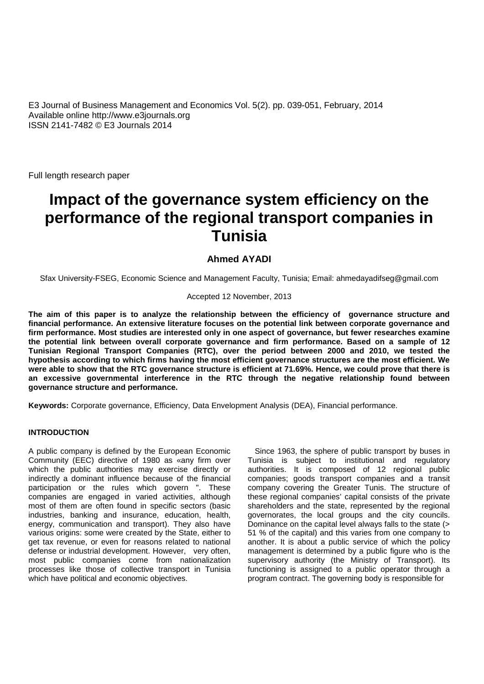E3 Journal of Business Management and Economics Vol. 5(2). pp. 039-051, February, 2014 Available online http://www.e3journals.org ISSN 2141-7482 © E3 Journals 2014

Full length research paper

# **Impact of the governance system efficiency on the performance of the regional transport companies in Tunisia**

# **Ahmed AYADI**

Sfax University-FSEG, Economic Science and Management Faculty, Tunisia; Email: ahmedayadifseg@gmail.com

# Accepted 12 November, 2013

**The aim of this paper is to analyze the relationship between the efficiency of governance structure and financial performance. An extensive literature focuses on the potential link between corporate governance and firm performance. Most studies are interested only in one aspect of governance, but fewer researches examine the potential link between overall corporate governance and firm performance. Based on a sample of 12 Tunisian Regional Transport Companies (RTC), over the period between 2000 and 2010, we tested the hypothesis according to which firms having the most efficient governance structures are the most efficient. We were able to show that the RTC governance structure is efficient at 71.69%. Hence, we could prove that there is an excessive governmental interference in the RTC through the negative relationship found between governance structure and performance.**

**Keywords:** Corporate governance, Efficiency, Data Envelopment Analysis (DEA), Financial performance.

# **INTRODUCTION**

A public company is defined by the European Economic Community (EEC) directive of 1980 as «any firm over which the public authorities may exercise directly or indirectly a dominant influence because of the financial participation or the rules which govern ". These companies are engaged in varied activities, although most of them are often found in specific sectors (basic industries, banking and insurance, education, health, energy, communication and transport). They also have various origins: some were created by the State, either to get tax revenue, or even for reasons related to national defense or industrial development. However, very often, most public companies come from nationalization processes like those of collective transport in Tunisia which have political and economic objectives.

Since 1963, the sphere of public transport by buses in Tunisia is subject to institutional and regulatory authorities. It is composed of 12 regional public companies; goods transport companies and a transit company covering the Greater Tunis. The structure of these regional companies' capital consists of the private shareholders and the state, represented by the regional governorates, the local groups and the city councils. Dominance on the capital level always falls to the state (> 51 % of the capital) and this varies from one company to another. It is about a public service of which the policy management is determined by a public figure who is the supervisory authority (the Ministry of Transport). Its functioning is assigned to a public operator through a program contract. The governing body is responsible for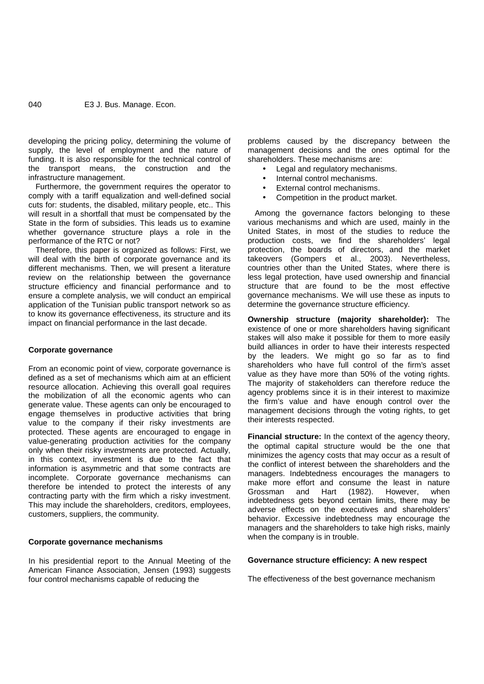developing the pricing policy, determining the volume of supply, the level of employment and the nature of funding. It is also responsible for the technical control of the transport means, the construction and the infrastructure management.

Furthermore, the government requires the operator to comply with a tariff equalization and well-defined social cuts for: students, the disabled, military people, etc.. This will result in a shortfall that must be compensated by the State in the form of subsidies. This leads us to examine whether governance structure plays a role in the performance of the RTC or not?

Therefore, this paper is organized as follows: First, we will deal with the birth of corporate governance and its different mechanisms. Then, we will present a literature review on the relationship between the governance structure efficiency and financial performance and to ensure a complete analysis, we will conduct an empirical application of the Tunisian public transport network so as to know its governance effectiveness, its structure and its impact on financial performance in the last decade.

# **Corporate governance**

From an economic point of view, corporate governance is defined as a set of mechanisms which aim at an efficient resource allocation. Achieving this overall goal requires the mobilization of all the economic agents who can generate value. These agents can only be encouraged to engage themselves in productive activities that bring value to the company if their risky investments are protected. These agents are encouraged to engage in value-generating production activities for the company only when their risky investments are protected. Actually, in this context, investment is due to the fact that information is asymmetric and that some contracts are incomplete. Corporate governance mechanisms can therefore be intended to protect the interests of any make more contracting party with the firm which a risky investment. This may include the shareholders, creditors, employees, customers, suppliers, the community.

# **Corporate governance mechanisms**

In his presidential report to the Annual Meeting of the American Finance Association, Jensen (1993) suggests four control mechanisms capable of reducing the

problems caused by the discrepancy between the management decisions and the ones optimal for the shareholders. These mechanisms are:

- Legal and regulatory mechanisms.
	- Internal control mechanisms.
	- External control mechanisms.
- Competition in the product market.

Among the governance factors belonging to these various mechanisms and which are used, mainly in the United States, in most of the studies to reduce the production costs, we find the shareholders' legal protection, the boards of directors, and the market takeovers (Gompers et al., 2003). Nevertheless, countries other than the United States, where there is less legal protection, have used ownership and financial structure that are found to be the most effective governance mechanisms. We will use these as inputs to determine the governance structure efficiency.

**Ownership structure (majority shareholder):** The existence of one or more shareholders having significant stakes will also make it possible for them to more easily build alliances in order to have their interests respected by the leaders. We might go so far as to find shareholders who have full control of the firm's asset value as they have more than 50% of the voting rights. The majority of stakeholders can therefore reduce the agency problems since it is in their interest to maximize the firm's value and have enough control over the management decisions through the voting rights, to get their interests respected.

**Financial structure:** In the context of the agency theory, the optimal capital structure would be the one that minimizes the agency costs that may occur as a result of the conflict of interest between the shareholders and the managers. Indebtedness encourages the managers to make more effort and consume the least in nature and Hart (1982). However, when indebtedness gets beyond certain limits, there may be adverse effects on the executives and shareholders' behavior. Excessive indebtedness may encourage the managers and the shareholders to take high risks, mainly when the company is in trouble.

## **Governance structure efficiency: A new respect**

The effectiveness of the best governance mechanism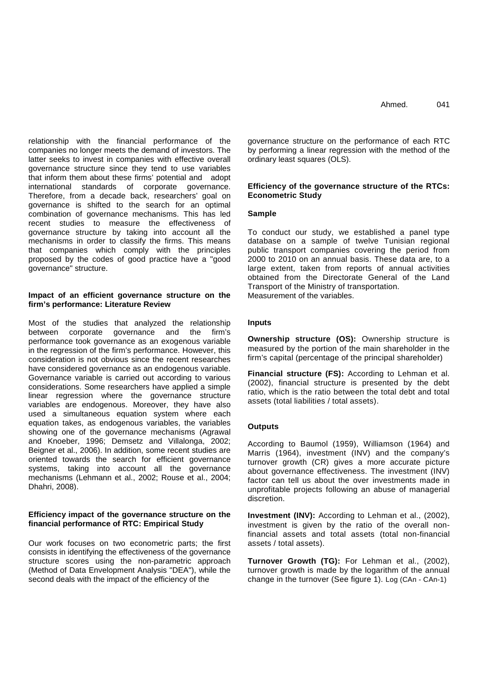relationship with the financial performance of the companies no longer meets the demand of investors. The latter seeks to invest in companies with effective overall governance structure since they tend to use variables that inform them about these firms' potential and adopt international standards of corporate governance. Therefore, from a decade back, researchers' goal on governance is shifted to the search for an optimal combination of governance mechanisms. This has led recent studies to measure the effectiveness of governance structure by taking into account all the mechanisms in order to classify the firms. This means that companies which comply with the principles proposed by the codes of good practice have a "good governance" structure.

# **Impact of an efficient governance structure on the firm's performance: Literature Review**

Most of the studies that analyzed the relationship between corporate governance and the firm's performance took governance as an exogenous variable in the regression of the firm's performance. However, this consideration is not obvious since the recent researches have considered governance as an endogenous variable. Governance variable is carried out according to various considerations. Some researchers have applied a simple linear regression where the governance structure variables are endogenous. Moreover, they have also used a simultaneous equation system where each equation takes, as endogenous variables, the variables showing one of the governance mechanisms (Agrawal and Knoeber, 1996; Demsetz and Villalonga, 2002; Beigner et al., 2006). In addition, some recent studies are oriented towards the search for efficient governance systems, taking into account all the governance mechanisms (Lehmann et al., 2002; Rouse et al., 2004; Dhahri, 2008).

# **Efficiency impact of the governance structure on the financial performance of RTC: Empirical Study**

Our work focuses on two econometric parts; the first consists in identifying the effectiveness of the governance structure scores using the non-parametric approach (Method of Data Envelopment Analysis "DEA"), while the second deals with the impact of the efficiency of the

governance structure on the performance of each RTC by performing a linear regression with the method of the ordinary least squares (OLS).

# **Efficiency of the governance structure of the RTCs: Econometric Study**

# **Sample**

To conduct our study, we established a panel type database on a sample of twelve Tunisian regional public transport companies covering the period from 2000 to 2010 on an annual basis. These data are, to a large extent, taken from reports of annual activities obtained from the Directorate General of the Land Transport of the Ministry of transportation. Measurement of the variables.

**Inputs**

**Ownership structure (OS):** Ownership structure is measured by the portion of the main shareholder in the firm's capital (percentage of the principal shareholder)

**Financial structure (FS):** According to Lehman et al. (2002), financial structure is presented by the debt ratio, which is the ratio between the total debt and total assets (total liabilities / total assets).

# **Outputs**

According to Baumol (1959), Williamson (1964) and Marris (1964), investment (INV) and the company's turnover growth (CR) gives a more accurate picture about governance effectiveness. The investment (INV) factor can tell us about the over investments made in unprofitable projects following an abuse of managerial discretion.

**Investment (INV):** According to Lehman et al., (2002), investment is given by the ratio of the overall nonfinancial assets and total assets (total non-financial assets / total assets).

**Turnover Growth (TG):** For Lehman et al., (2002), turnover growth is made by the logarithm of the annual change in the turnover (See figure 1). Log (CAn - CAn-1)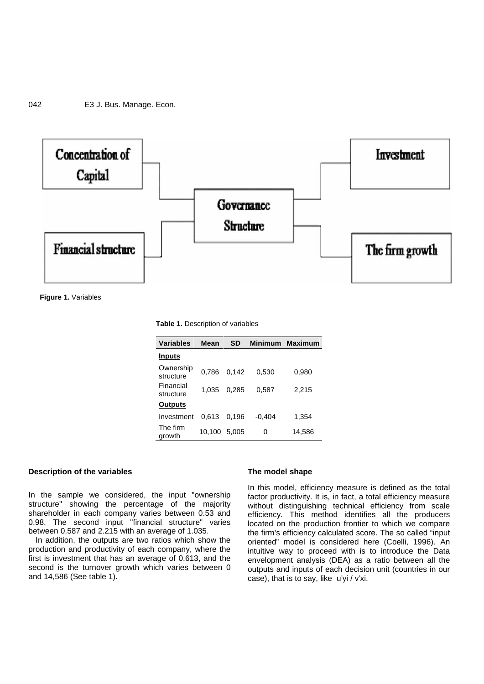

**Figure 1.** Variables

| <b>Table 1.</b> Description of variables |  |
|------------------------------------------|--|
|                                          |  |

| <b>Variables</b>       | Mean         | <b>SD</b> |          | Minimum Maximum |
|------------------------|--------------|-----------|----------|-----------------|
| <b>Inputs</b>          |              |           |          |                 |
| Ownership<br>structure | 0.786        | 0.142     | 0.530    | 0.980           |
| Financial<br>structure | 1.035        | 0.285     | 0.587    | 2.215           |
| <b>Outputs</b>         |              |           |          |                 |
| Investment             | 0.613        | 0.196     | $-0.404$ | 1,354           |
| The firm<br>growth     | 10,100 5,005 |           | 0        | 14,586          |

#### **Description of the variables**

In the sample we considered, the input "ownership structure" showing the percentage of the majority shareholder in each company varies between 0.53 and 0.98. The second input "financial structure" varies between 0.587 and 2.215 with an average of 1.035.

In addition, the outputs are two ratios which show the production and productivity of each company, where the first is investment that has an average of 0.613, and the second is the turnover growth which varies between 0 and 14,586 (See table 1).

#### **The model shape**

In this model, efficiency measure is defined as the total factor productivity. It is, in fact, a total efficiency measure without distinguishing technical efficiency from scale efficiency. This method identifies all the producers located on the production frontier to which we compare the firm's efficiency calculated score. The so called "input oriented" model is considered here (Coelli, 1996). An intuitive way to proceed with is to introduce the Data envelopment analysis (DEA) as a ratio between all the outputs and inputs of each decision unit (countries in our case), that is to say, like u'yi / v'xi.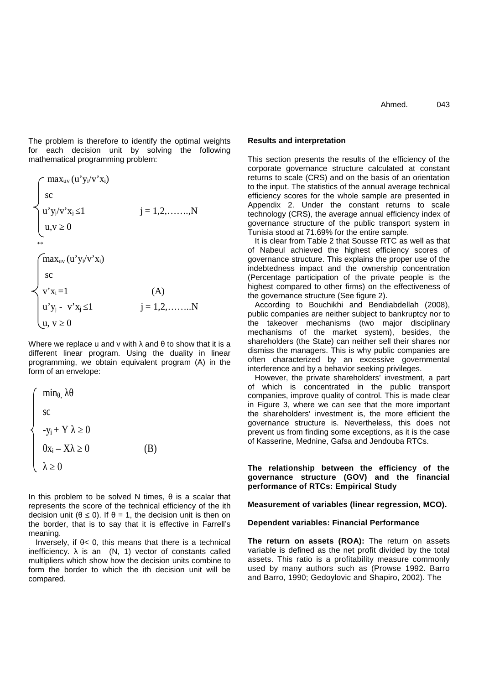The problem is therefore to identify the optimal weights for each decision unit by solving the following mathematical programming problem:

$$
\begin{cases}\n\max_{uv} (u' y_i/v' x_i) \\
\text{sc} \\
u' y_j/v' x_j \quad 1 \\
u, v \quad 0\n\end{cases} \quad j = 1, 2, ......., N
$$

$$
\begin{cases}\n\max_{uv} (u' y_i/v' x_i) \\
\text{sc} \\
v' x_i = 1 \\
u' y_j - v' x_j \quad 1 \\
u, v \quad 0\n\end{cases} \tag{A}
$$

Where we replace u and v with and to show that it is a different linear program. Using the duality in linear programming, we obtain equivalent program (A) in the form of an envelope:

$$
\begin{cases}\n\min, \\
\text{sc} \\
-y_i + Y & 0 \\
x_i - X & 0 \\
0\n\end{cases}
$$
\n(B)

In this problem to be solved N times, is a scalar that represents the score of the technical efficiency of the ith decision unit  $($  0). If = 1, the decision unit is then on the border, that is to say that it is effective in Farrell's meaning.

Inversely, if  $\leq 0$ , this means that there is a technical inefficiency. is an (N, 1) vector of constants called multipliers which show how the decision units combine to form the border to which the ith decision unit will be compared.

# Ahmed. 043

## **Results and interpretation**

This section presents the results of the efficiency of the corporate governance structure calculated at constant returns to scale (CRS) and on the basis of an orientation to the input. The statistics of the annual average technical efficiency scores for the whole sample are presented in Appendix 2. Under the constant returns to scale technology (CRS), the average annual efficiency index of governance structure of the public transport system in Tunisia stood at 71.69% for the entire sample.

It is clear from Table 2 that Sousse RTC as well as that of Nabeul achieved the highest efficiency scores of governance structure. This explains the proper use of the indebtedness impact and the ownership concentration (Percentage participation of the private people is the highest compared to other firms) on the effectiveness of the governance structure (See figure 2).

According to Bouchikhi and Bendiabdellah (2008), public companies are neither subject to bankruptcy nor to the takeover mechanisms (two major disciplinary mechanisms of the market system), besides, the shareholders (the State) can neither sell their shares nor dismiss the managers. This is why public companies are often characterized by an excessive governmental interference and by a behavior seeking privileges.

However, the private shareholders' investment, a part of which is concentrated in the public transport companies, improve quality of control. This is made clear in Figure 3, where we can see that the more important the shareholders' investment is, the more efficient the governance structure is. Nevertheless, this does not prevent us from finding some exceptions, as it is the case of Kasserine, Mednine, Gafsa and Jendouba RTCs.

**The relationship between the efficiency of the governance structure (GOV) and the financial performance of RTCs: Empirical Study**

**Measurement of variables (linear regression, MCO).**

## **Dependent variables: Financial Performance**

**The return on assets (ROA):** The return on assets variable is defined as the net profit divided by the total assets. This ratio is a profitability measure commonly used by many authors such as (Prowse 1992. Barro and Barro, 1990; Gedoylovic and Shapiro, 2002). The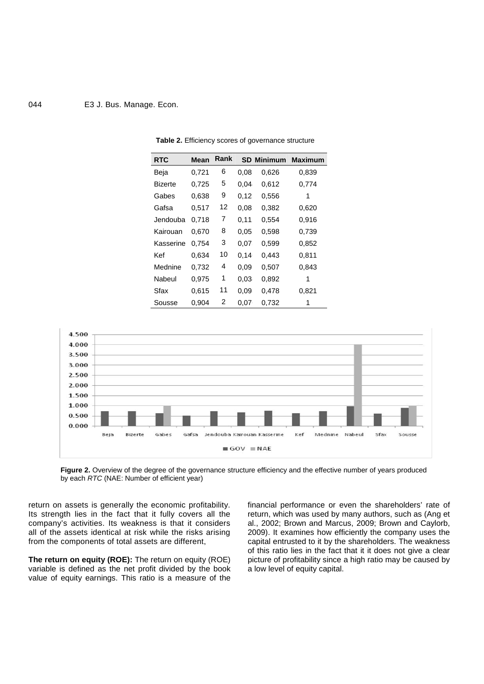# 044 E3 J. Bus. Manage. Econ.

| <b>Rank</b><br><b>RTC</b><br><b>Mean</b><br><b>SD Minimum</b><br>Maximum<br>6<br>0,721<br>Beja<br>0.08<br>0,626<br>0,839<br>5<br>0,725<br>$0.04 -$<br>0,612<br>0,774<br>Bizerte<br>9<br>0,638<br>0,12<br>0,556<br>Gabes<br>1<br>12<br>0.08<br>0,517<br>0,382<br>0,620<br>Gafsa<br>7<br>Jendouba<br>0,718<br>0,11<br>0,554<br>0,916<br>8<br>0,598<br>0,739<br>0,670<br>0.05<br>Kairouan<br>3<br>0,07<br>0,599<br>0,852<br>Kasserine<br>0.754<br>10<br>Kef<br>0,634<br>0,14<br>0,811<br>0,443<br>4<br>0.09 <sub>1</sub><br>Mednine<br>0,732<br>0,507<br>0,843<br>1<br>0,892<br>Nabeul<br>0,975<br>0,03<br>1<br>11<br>0,615<br>0.09 <sub>1</sub><br>0,821<br>Sfax<br>0,478<br>2<br>0,904<br>0,07<br>0,732<br>Sousse<br>1 |  |  |  |
|-----------------------------------------------------------------------------------------------------------------------------------------------------------------------------------------------------------------------------------------------------------------------------------------------------------------------------------------------------------------------------------------------------------------------------------------------------------------------------------------------------------------------------------------------------------------------------------------------------------------------------------------------------------------------------------------------------------------------|--|--|--|
|                                                                                                                                                                                                                                                                                                                                                                                                                                                                                                                                                                                                                                                                                                                       |  |  |  |
|                                                                                                                                                                                                                                                                                                                                                                                                                                                                                                                                                                                                                                                                                                                       |  |  |  |
|                                                                                                                                                                                                                                                                                                                                                                                                                                                                                                                                                                                                                                                                                                                       |  |  |  |
|                                                                                                                                                                                                                                                                                                                                                                                                                                                                                                                                                                                                                                                                                                                       |  |  |  |
|                                                                                                                                                                                                                                                                                                                                                                                                                                                                                                                                                                                                                                                                                                                       |  |  |  |
|                                                                                                                                                                                                                                                                                                                                                                                                                                                                                                                                                                                                                                                                                                                       |  |  |  |
|                                                                                                                                                                                                                                                                                                                                                                                                                                                                                                                                                                                                                                                                                                                       |  |  |  |
|                                                                                                                                                                                                                                                                                                                                                                                                                                                                                                                                                                                                                                                                                                                       |  |  |  |
|                                                                                                                                                                                                                                                                                                                                                                                                                                                                                                                                                                                                                                                                                                                       |  |  |  |
|                                                                                                                                                                                                                                                                                                                                                                                                                                                                                                                                                                                                                                                                                                                       |  |  |  |
|                                                                                                                                                                                                                                                                                                                                                                                                                                                                                                                                                                                                                                                                                                                       |  |  |  |
|                                                                                                                                                                                                                                                                                                                                                                                                                                                                                                                                                                                                                                                                                                                       |  |  |  |
|                                                                                                                                                                                                                                                                                                                                                                                                                                                                                                                                                                                                                                                                                                                       |  |  |  |

**Table 2.** Efficiency scores of governance structure





return on assets is generally the economic profitability. Its strength lies in the fact that it fully covers all the company's activities. Its weakness is that it considers all of the assets identical at risk while the risks arising from the components of total assets are different,

**The return on equity (ROE):** The return on equity (ROE) variable is defined as the net profit divided by the book value of equity earnings. This ratio is a measure of the financial performance or even the shareholders' rate of return, which was used by many authors, such as (Ang et al., 2002; Brown and Marcus, 2009; Brown and Caylorb, 2009). It examines how efficiently the company uses the capital entrusted to it by the shareholders. The weakness of this ratio lies in the fact that it it does not give a clear picture of profitability since a high ratio may be caused by a low level of equity capital.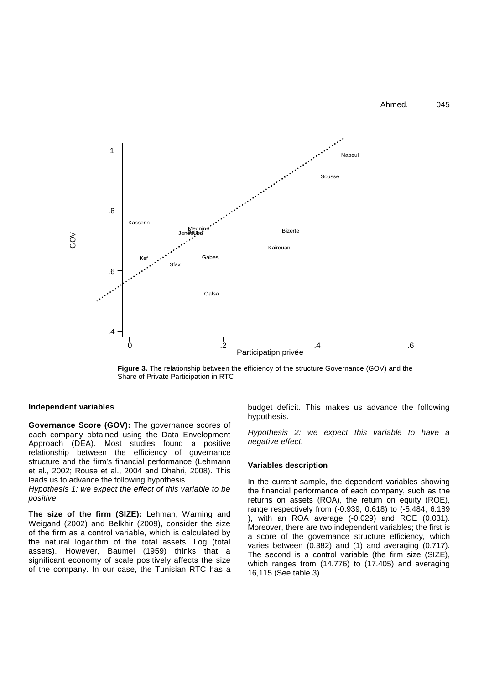Ahmed. 045



**Figure 3.** The relationship between the efficiency of the structure Governance (GOV) and the Share of Private Participation in RTC

# **Independent variables**

**Governance Score (GOV):** The governance scores of each company obtained using the Data Envelopment Approach (DEA). Most studies found a positive relationship between the efficiency of governance structure and the firm's financial performance (Lehmann et al., 2002; Rouse et al., 2004 and Dhahri, 2008). This leads us to advance the following hypothesis.

*Hypothesis 1: we expect the effect of this variable to be positive.*

**The size of the firm (SIZE):** Lehman, Warning and Weigand (2002) and Belkhir (2009), consider the size of the firm as a control variable, which is calculated by the natural logarithm of the total assets, Log (total assets). However, Baumel (1959) thinks that a significant economy of scale positively affects the size of the company. In our case, the Tunisian RTC has a  $\frac{16,115}{16,115}$  (See table 3).

budget deficit. This makes us advance the following hypothesis.

*Hypothesis 2: we expect this variable to have a negative effect.*

### **Variables description**

In the current sample, the dependent variables showing the financial performance of each company, such as the returns on assets (ROA), the return on equity (ROE), range respectively from (-0.939, 0.618) to (-5.484, 6.189 ), with an ROA average (-0.029) and ROE (0.031). Moreover, there are two independent variables; the first is a score of the governance structure efficiency, which varies between (0.382) and (1) and averaging (0.717). The second is a control variable (the firm size (SIZE), which ranges from (14.776) to (17.405) and averaging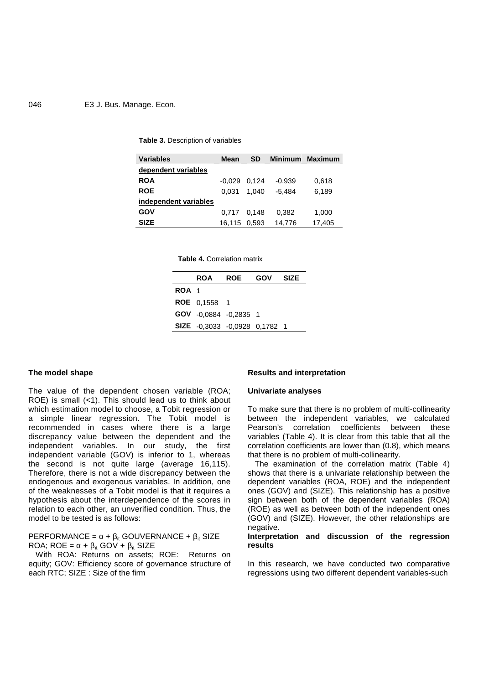# 046 E3 J. Bus. Manage. Econ.

#### **Table 3.** Description of variables

| <b>Variables</b>      | Mean           | <b>SD</b> |          | Minimum Maximum |
|-----------------------|----------------|-----------|----------|-----------------|
| dependent variables   |                |           |          |                 |
| <b>ROA</b>            | $-0.029$ 0.124 |           | $-0.939$ | 0,618           |
| <b>ROE</b>            | 0.031          | 1.040     | $-5.484$ | 6.189           |
| independent variables |                |           |          |                 |
| GOV                   | 0.717 0.148    |           | 0,382    | 1,000           |
| <b>SIZE</b>           | 16,115 0,593   |           | 14.776   | 17.405          |

**Table 4.** Correlation matrix

|       |                               | ROA ROE GOV | <b>SIZE</b> |
|-------|-------------------------------|-------------|-------------|
| ROA 1 |                               |             |             |
|       | <b>ROE</b> 0.1558 1           |             |             |
|       | GOV -0.0884 -0.2835 1         |             |             |
|       | SIZE -0,3033 -0,0928 0,1782 1 |             |             |

### **The model shape**

The value of the dependent chosen variable (ROA; ROE) is small (<1). This should lead us to think about which estimation model to choose, a Tobit regression or a simple linear regression. The Tobit model is recommended in cases where there is a large discrepancy value between the dependent and the independent variables. In our study, the first independent variable (GOV) is inferior to 1, whereas the second is not quite large (average 16,115). Therefore, there is not a wide discrepancy between the endogenous and exogenous variables. In addition, one of the weaknesses of a Tobit model is that it requires a hypothesis about the interdependence of the scores in relation to each other, an unverified condition. Thus, the model to be tested is as follows:

PERFORMANCE =  $+_{it}$  GOUVERNANCE +  $_{it}$  SIZE ROA;  $ROE = + i t$  GOV +  $i t$  SIZE

With ROA: Returns on assets; ROE: Returns on equity; GOV: Efficiency score of governance structure of each RTC; SIZE : Size of the firm

#### **Results and interpretation**

## **Univariate analyses**

To make sure that there is no problem of multi-collinearity between the independent variables, we calculated Pearson's correlation coefficients between these variables (Table 4). It is clear from this table that all the correlation coefficients are lower than (0.8), which means that there is no problem of multi-collinearity.

The examination of the correlation matrix (Table 4) shows that there is a univariate relationship between the dependent variables (ROA, ROE) and the independent ones (GOV) and (SIZE). This relationship has a positive sign between both of the dependent variables (ROA) (ROE) as well as between both of the independent ones (GOV) and (SIZE). However, the other relationships are negative.

# **Interpretation and discussion of the regression results**

In this research, we have conducted two comparative regressions using two different dependent variables-such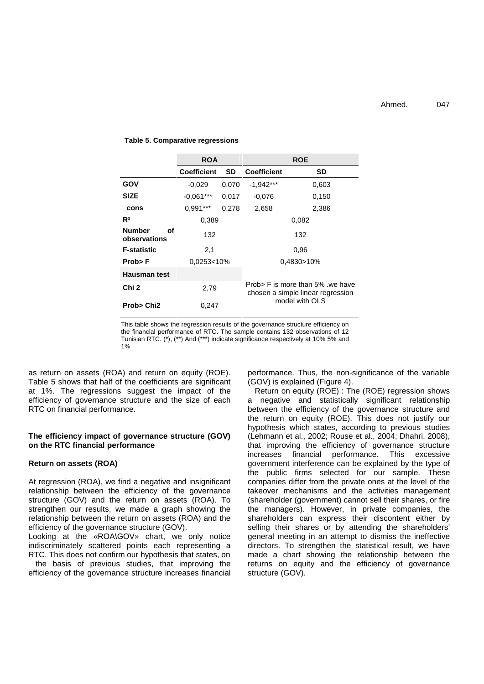#### **Table 5. Comparative regressions**

|                                     | <b>ROA</b>         |       |                    | <b>ROE</b>                                                            |
|-------------------------------------|--------------------|-------|--------------------|-----------------------------------------------------------------------|
|                                     | <b>Coefficient</b> | SD.   | <b>Coefficient</b> | SD                                                                    |
| GOV                                 | $-0.029$           | 0,070 | $-1,942***$        | 0,603                                                                 |
| <b>SIZE</b>                         | $-0.061***$        | 0,017 | $-0.076$           | 0,150                                                                 |
| cons                                | $0,991***$         | 0,278 | 2,658              | 2,386                                                                 |
| $R^2$                               | 0,389              |       |                    | 0,082                                                                 |
| <b>Number</b><br>οf<br>observations | 132                |       |                    | 132                                                                   |
| <b>F-statistic</b>                  | 2,1                |       |                    | 0.96                                                                  |
| Prob>F                              | 0.0253<10%         |       |                    | 0,4830>10%                                                            |
| <b>Hausman test</b>                 |                    |       |                    |                                                                       |
| Chi 2                               | 2,79               |       |                    | Prob > F is more than 5% we have<br>chosen a simple linear regression |
| Prob> Chi <sub>2</sub>              | 0,247              |       |                    | model with OLS                                                        |

This table shows the regression results of the governance structure efficiency on the financial performance of RTC. The sample contains 132 observations of 12 Tunisian RTC. (\*), (\*\*) And (\*\*\*) indicate significance respectively at 10% 5% and 1%

as return on assets (ROA) and return on equity (ROE). Table 5 shows that half of the coefficients are significant at 1%. The regressions suggest the impact of the efficiency of governance structure and the size of each RTC on financial performance.

# **The efficiency impact of governance structure (GOV) on the RTC financial performance**

#### **Return on assets (ROA)**

At regression (ROA), we find a negative and insignificant relationship between the efficiency of the governance structure (GOV) and the return on assets (ROA). To strengthen our results, we made a graph showing the relationship between the return on assets (ROA) and the efficiency of the governance structure (GOV).

Looking at the «ROA\GOV» chart, we only notice indiscriminately scattered points each representing a RTC. This does not confirm our hypothesis that states, on

the basis of previous studies, that improving the efficiency of the governance structure increases financial performance. Thus, the non-significance of the variable (GOV) is explained (Figure 4).

Return on equity (ROE) : The (ROE) regression shows a negative and statistically significant relationship between the efficiency of the governance structure and the return on equity (ROE). This does not justify our hypothesis which states, according to previous studies (Lehmann et al., 2002; Rouse et al., 2004; Dhahri, 2008), that improving the efficiency of governance structure increases financial performance. This excessive government interference can be explained by the type of the public firms selected for our sample. These companies differ from the private ones at the level of the takeover mechanisms and the activities management (shareholder (government) cannot sell their shares, or fire the managers). However, in private companies, the shareholders can express their discontent either by selling their shares or by attending the shareholders' general meeting in an attempt to dismiss the ineffective directors. To strengthen the statistical result, we have made a chart showing the relationship between the returns on equity and the efficiency of governance structure (GOV).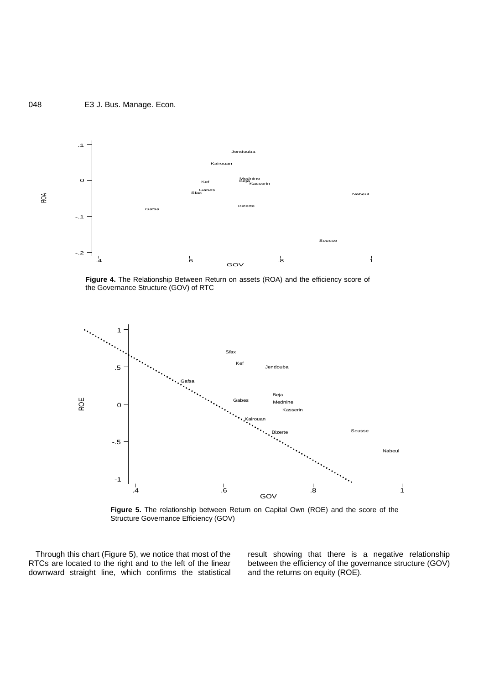# 048 E3 J. Bus. Manage. Econ.



**Figure 4.** The Relationship Between Return on assets (ROA) and the efficiency score of the Governance Structure (GOV) of RTC



**Figure 5.** The relationship between Return on Capital Own (ROE) and the score of the Structure Governance Efficiency (GOV)

Through this chart (Figure 5), we notice that most of the RTCs are located to the right and to the left of the linear downward straight line, which confirms the statistical result showing that there is a negative relationship between the efficiency of the governance structure (GOV) and the returns on equity (ROE).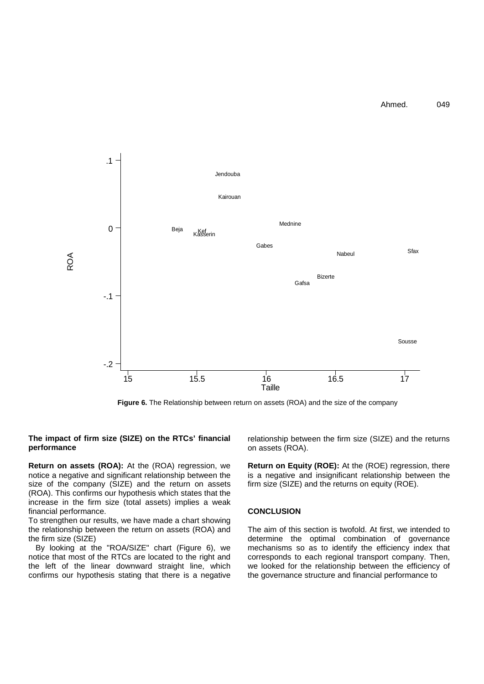Ahmed. 049



**Figure 6.** The Relationship between return on assets (ROA) and the size of the company

# **The impact of firm size (SIZE) on the RTCs' financial performance**

**Return on assets (ROA):** At the (ROA) regression, we notice a negative and significant relationship between the size of the company (SIZE) and the return on assets (ROA). This confirms our hypothesis which states that the increase in the firm size (total assets) implies a weak financial performance.

To strengthen our results, we have made a chart showing the relationship between the return on assets (ROA) and the firm size (SIZE)

By looking at the "ROA/SIZE" chart (Figure 6), we notice that most of the RTCs are located to the right and the left of the linear downward straight line, which confirms our hypothesis stating that there is a negative

relationship between the firm size (SIZE) and the returns on assets (ROA).

**Return on Equity (ROE):** At the (ROE) regression, there is a negative and insignificant relationship between the firm size (SIZE) and the returns on equity (ROE).

# **CONCLUSION**

The aim of this section is twofold. At first, we intended to determine the optimal combination of governance mechanisms so as to identify the efficiency index that corresponds to each regional transport company. Then, we looked for the relationship between the efficiency of the governance structure and financial performance to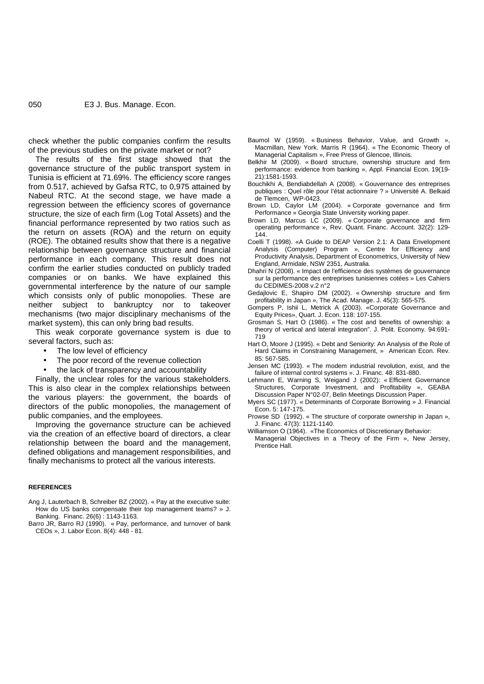check whether the public companies confirm the results of the previous studies on the private market or not?

The results of the first stage showed that the governance structure of the public transport system in Tunisia is efficient at 71.69%. The efficiency score ranges from 0.517, achieved by Gafsa RTC, to 0,975 attained by Nabeul RTC. At the second stage, we have made a regression between the efficiency scores of governance structure, the size of each firm (Log Total Assets) and the financial performance represented by two ratios such as the return on assets (ROA) and the return on equity (ROE). The obtained results show that there is a negative relationship between governance structure and financial performance in each company. This result does not confirm the earlier studies conducted on publicly traded companies or on banks. We have explained this governmental interference by the nature of our sample which consists only of public monopolies. These are neither subject to bankruptcy nor to takeover mechanisms (two major disciplinary mechanisms of the market system), this can only bring bad results.

This weak corporate governance system is due to several factors, such as:

- The low level of efficiency
- The poor record of the revenue collection
- the lack of transparency and accountability

Finally, the unclear roles for the various stakeholders. This is also clear in the complex relationships between the various players: the government, the boards of directors of the public monopolies, the management of public companies, and the employees.

Improving the governance structure can be achieved via the creation of an effective board of directors, a clear relationship between the board and the management, defined obligations and management responsibilities, and finally mechanisms to protect all the various interests.

#### **REFERENCES**

- Ang J, Lauterbach B, Schreiber BZ (2002). « Pay at the executive suite: How do US banks compensate their top management teams? » J. Banking. Financ. 26(6) : 1143-1163.
- Barro JR, Barro RJ (1990). « Pay, performance, and turnover of bank CEOs », J. Labor Econ. 8(4): 448 - 81.
- Baumol W (1959). « Business Behavior, Value, and Growth », Macmillan, New York. Marris R (1964). « The Economic Theory of Managerial Capitalism », Free Press of Glencoe, Illinois.
- Belkhir M (2009). « Board structure, ownership structure and firm performance: evidence from banking », Appl. Financial Econ. 19(19- 21):1581-1593.
- Bouchikhi A, Bendiabdellah A (2008). « Gouvernance des entreprises publiques : Quel rôle pour l'état actionnaire ? » Université A. Belkaid de Tlemcen, WP-0423.
- Brown LD, Caylor LM (2004). « Corporate governance and firm Performance » Georgia State University working paper.
- Brown LD, Marcus LC (2009). « Corporate governance and firm operating performance », Rev. Quant. Financ. Account. 32(2): 129- 144.
- Coelli T (1998). «A Guide to DEAP Version 2.1: A Data Envelopment Analysis (Computer) Program », Centre for Efficiency and Productivity Analysis, Department of Econometrics, University of New England, Armidale, NSW 2351, Australia.
- Dhahri N (2008). « Impact de l'efficience des systèmes de gouvernance sur la performance des entreprises tunisiennes cotées » Les Cahiers du CEDIMES-2008 v.2 n°2
- Gedajlovic E, Shapiro DM (2002). « Ownership structure and firm profitability in Japan », The Acad. Manage. J. 45(3): 565-575.
- Gompers P, Ishii L, Metrick A (2003). «Corporate Governance and Equity Prices», Quart. J. Econ. 118: 107-155.
- Grosman S, Hart O (1986). « The cost and benefits of ownership: a theory of vertical and lateral integration". J. Polit. Economy. 94:691- 719
- Hart O, Moore J (1995). « Debt and Seniority: An Analysis of the Role of Hard Claims in Constraining Management, » American Econ. Rev. 85: 567-585.
- Jensen MC (1993). « The modem industrial revolution, exist, and the failure of internal control systems ». J. Financ. 48: 831-880.
- Lehmann E, Warning S, Weigand J (2002): « Efficient Governance Structures, Corporate Investment, and Profitability », GEABA Discussion Paper N°02-07, Belin Meetings Discussion Paper.
- Myers SC (1977). « Determinants of Corporate Borrowing » J. Financial Econ. 5: 147-175.
- Prowse SD (1992). « The structure of corporate ownership in Japan », J. Financ. 47(3): 1121-1140.

Williamson O (1964). «The Economics of Discretionary Behavior:

Managerial Objectives in a Theory of the Firm », New Jersey, Prentice Hall.